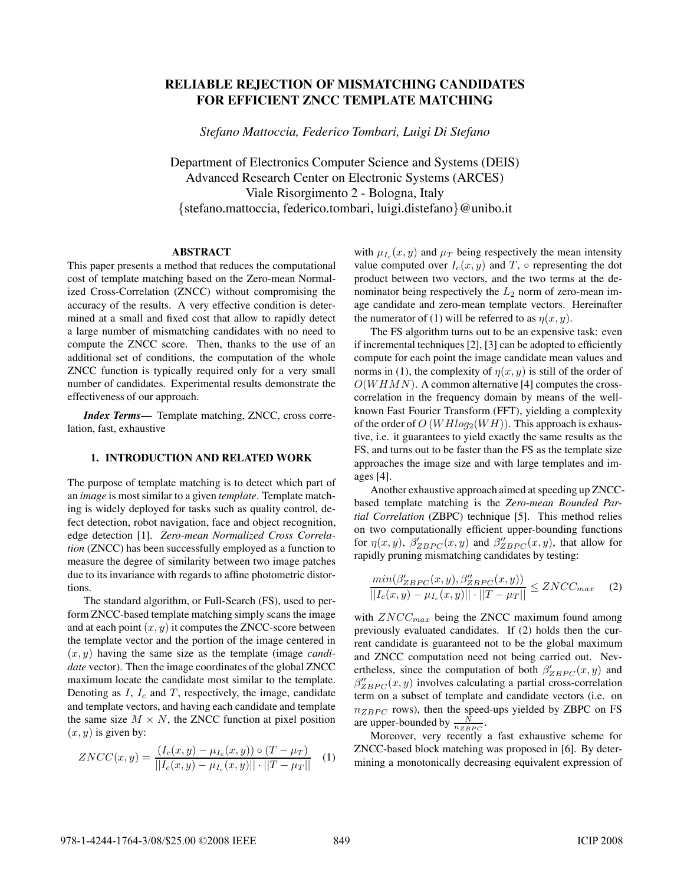# **RELIABLE REJECTION OF MISMATCHING CANDIDATES FOR EFFICIENT ZNCC TEMPLATE MATCHING**

*Stefano Mattoccia, Federico Tombari, Luigi Di Stefano*

Department of Electronics Computer Science and Systems (DEIS) Advanced Research Center on Electronic Systems (ARCES) Viale Risorgimento 2 - Bologna, Italy {stefano.mattoccia, federico.tombari, luigi.distefano}@unibo.it

## **ABSTRACT**

This paper presents a method that reduces the computational cost of template matching based on the Zero-mean Normalized Cross-Correlation (ZNCC) without compromising the accuracy of the results. A very effective condition is determined at a small and fixed cost that allow to rapidly detect a large number of mismatching candidates with no need to compute the ZNCC score. Then, thanks to the use of an additional set of conditions, the computation of the whole ZNCC function is typically required only for a very small number of candidates. Experimental results demonstrate the effectiveness of our approach.

*Index Terms***—** Template matching, ZNCC, cross correlation, fast, exhaustive

#### **1. INTRODUCTION AND RELATED WORK**

The purpose of template matching is to detect which part of an *image* is most similar to a given *template*. Template matching is widely deployed for tasks such as quality control, defect detection, robot navigation, face and object recognition, edge detection [1]. *Zero-mean Normalized Cross Correlation* (ZNCC) has been successfully employed as a function to measure the degree of similarity between two image patches due to its invariance with regards to affine photometric distortions.

The standard algorithm, or Full-Search (FS), used to perform ZNCC-based template matching simply scans the image and at each point  $(x, y)$  it computes the ZNCC-score between the template vector and the portion of the image centered in (x, y) having the same size as the template (image *candidate* vector). Then the image coordinates of the global ZNCC maximum locate the candidate most similar to the template. Denoting as  $I, I_c$  and  $T$ , respectively, the image, candidate and template vectors, and having each candidate and template the same size  $M \times N$ , the ZNCC function at pixel position  $(x, y)$  is given by:

$$
ZNCC(x,y) = \frac{(I_c(x,y) - \mu_{I_c}(x,y)) \circ (T - \mu_T)}{||I_c(x,y) - \mu_{I_c}(x,y)|| \cdot ||T - \mu_T||} \quad (1)
$$

with  $\mu_{I_c}(x, y)$  and  $\mu_T$  being respectively the mean intensity value computed over  $I_c(x, y)$  and T,  $\circ$  representing the dot product between two vectors, and the two terms at the denominator being respectively the  $L_2$  norm of zero-mean image candidate and zero-mean template vectors. Hereinafter the numerator of (1) will be referred to as  $\eta(x, y)$ .

The FS algorithm turns out to be an expensive task: even if incremental techniques  $[2]$ ,  $[3]$  can be adopted to efficiently compute for each point the image candidate mean values and norms in (1), the complexity of  $\eta(x, y)$  is still of the order of  $O(WHMN)$ . A common alternative [4] computes the crosscorrelation in the frequency domain by means of the wellknown Fast Fourier Transform (FFT), yielding a complexity of the order of  $O(WHlog<sub>2</sub>(WH))$ . This approach is exhaustive, i.e. it guarantees to yield exactly the same results as the FS, and turns out to be faster than the FS as the template size approaches the image size and with large templates and images [4].

Another exhaustive approach aimed at speeding up ZNCCbased template matching is the *Zero-mean Bounded Partial Correlation* (ZBPC) technique [5]. This method relies on two computationally efficient upper-bounding functions for  $\eta(x, y)$ ,  $\beta'_{ZBPC}(x, y)$  and  $\beta''_{ZBPC}(x, y)$ , that allow for rapidly pruning mismatching candidates by testing: rapidly pruning mismatching candidates by testing:

$$
\frac{\min(\beta'_{ZBPC}(x,y), \beta''_{ZBPC}(x,y))}{||I_c(x,y) - \mu_{I_c}(x,y)|| \cdot ||T - \mu_T||} \leq ZNCC_{max} \tag{2}
$$

with  $ZNCC_{max}$  being the ZNCC maximum found among previously evaluated candidates. If (2) holds then the current candidate is guaranteed not to be the global maximum and ZNCC computation need not being carried out. Nevertheless, since the computation of both  $\beta'_{ZBPC}(x, y)$  and  $\beta''$  (x, y) involves calculating a partial cross-correlation  $\beta''_{BBC}(x, y)$  involves calculating a partial cross-correlation<br>term on a subset of template and candidate vectors (i.e., on term on a subset of template and candidate vectors (i.e. on  $n_{ZBPC}$  rows), then the speed-ups yielded by ZBPC on FS are upper-bounded by  $\frac{N}{n_{ZBPC}}$ .

Moreover, very recently a fast exhaustive scheme for ZNCC-based block matching was proposed in [6]. By determining a monotonically decreasing equivalent expression of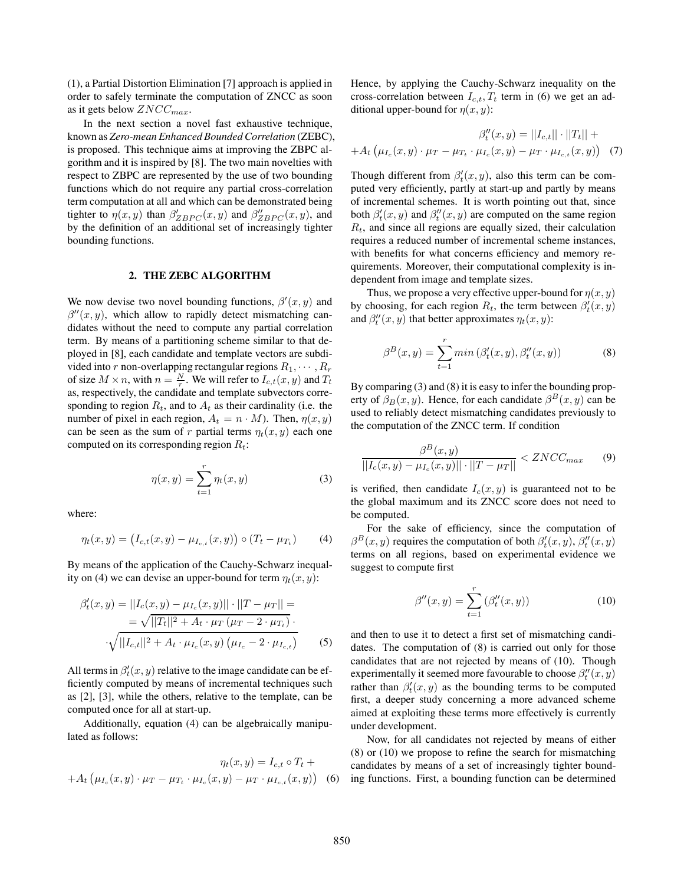(1), a Partial Distortion Elimination [7] approach is applied in order to safely terminate the computation of ZNCC as soon as it gets below  $ZNCC_{max}$ .

In the next section a novel fast exhaustive technique, known as *Zero-mean Enhanced Bounded Correlation* (ZEBC), is proposed. This technique aims at improving the ZBPC algorithm and it is inspired by [8]. The two main novelties with respect to ZBPC are represented by the use of two bounding functions which do not require any partial cross-correlation term computation at all and which can be demonstrated being tighter to  $\eta(x, y)$  than  $\beta'_{ZBPC}(x, y)$  and  $\beta''_{ZBPC}(x, y)$ , and<br>by the definition of an additional set of increasingly tighter by the definition of an additional set of increasingly tighter bounding functions.

## **2. THE ZEBC ALGORITHM**

We now devise two novel bounding functions,  $\beta'(x, y)$  and  $\beta''(x, y)$  which allow to rapidly detect mismatching can  $\beta''(x, y)$ , which allow to rapidly detect mismatching can-<br>didates without the need to compute any partial correlation didates without the need to compute any partial correlation term. By means of a partitioning scheme similar to that deployed in [8], each candidate and template vectors are subdivided into r non-overlapping rectangular regions  $R_1, \dots, R_r$ of size  $M \times n$ , with  $n = \frac{N}{r}$ . We will refer to  $I_{c,t}(x, y)$  and  $T_t$ <br>as respectively the candidate and template subvectors correas, respectively, the candidate and template subvectors corresponding to region  $R_t$ , and to  $A_t$  as their cardinality (i.e. the number of pixel in each region,  $A_t = n \cdot M$ ). Then,  $\eta(x, y)$ can be seen as the sum of r partial terms  $\eta_t(x, y)$  each one computed on its corresponding region  $R_t$ :

$$
\eta(x,y) = \sum_{t=1}^{r} \eta_t(x,y) \tag{3}
$$

where:

$$
\eta_t(x, y) = (I_{c,t}(x, y) - \mu_{I_{c,t}}(x, y)) \circ (T_t - \mu_{T_t}) \tag{4}
$$

By means of the application of the Cauchy-Schwarz inequality on (4) we can devise an upper-bound for term  $\eta_t(x, y)$ :

$$
\beta'_{t}(x, y) = ||I_{c}(x, y) - \mu_{I_{c}}(x, y)|| \cdot ||T - \mu_{T}|| =
$$
  
=  $\sqrt{||T_{t}||^{2} + A_{t} \cdot \mu_{T} (\mu_{T} - 2 \cdot \mu_{T_{t}})}$   
 $\sqrt{||I_{c,t}||^{2} + A_{t} \cdot \mu_{I_{c}}(x, y) (\mu_{I_{c}} - 2 \cdot \mu_{I_{c,t}})}$  (5)

All terms in  $\beta_t^l(x, y)$  relative to the image candidate can be efficiently computed by means of incremental techniques such ficiently computed by means of incremental techniques such as [2], [3], while the others, relative to the template, can be computed once for all at start-up.

Additionally, equation (4) can be algebraically manipulated as follows:

$$
\eta_t(x, y) = I_{c,t} \circ T_t +
$$
  
+  $A_t \left( \mu_{I_c}(x, y) \cdot \mu_T - \mu_{T_t} \cdot \mu_{I_c}(x, y) - \mu_T \cdot \mu_{I_{c,t}}(x, y) \right)$  (6)

Hence, by applying the Cauchy-Schwarz inequality on the cross-correlation between  $I_{c,t}$ ,  $T_t$  term in (6) we get an additional upper-bound for  $\eta(x, y)$ :

$$
\beta_t''(x, y) = ||I_{c,t}|| \cdot ||T_t|| ++ A_t \left( \mu_{I_c}(x, y) \cdot \mu_T - \mu_{T_t} \cdot \mu_{I_c}(x, y) - \mu_T \cdot \mu_{I_{c,t}}(x, y) \right) (7)
$$

Though different from  $\beta_t'(x, y)$ , also this term can be com-<br>puted very efficiently partly at start-up and partly by means puted very efficiently, partly at start-up and partly by means of incremental schemes. It is worth pointing out that, since both  $\beta_t'(x, y)$  and  $\beta_t''(x, y)$  are computed on the same region  $R_t$ , and since all regions are equally sized, their calculation  $R_t$ , and since all regions are equally sized, their calculation requires a reduced number of incremental scheme instances, with benefits for what concerns efficiency and memory requirements. Moreover, their computational complexity is independent from image and template sizes.

Thus, we propose a very effective upper-bound for  $\eta(x, y)$ by choosing, for each region  $R_t$ , the term between  $\beta_t'(x, y)$ <br>and  $\beta_t''(x, y)$  that better approximates  $p_t(x, y)$ . and  $\beta_t''(x, y)$  that better approximates  $\eta_t(x, y)$ :

$$
\beta^{B}(x,y) = \sum_{t=1}^{r} \min(\beta_t^{\prime}(x,y), \beta_t^{\prime\prime}(x,y))
$$
\n(8)

By comparing (3) and (8) it is easy to infer the bounding property of  $\beta_B(x, y)$ . Hence, for each candidate  $\beta^B(x, y)$  can be used to reliably detect mismatching candidates previously to the computation of the ZNCC term. If condition

$$
\frac{\beta^{B}(x, y)}{||I_{c}(x, y) - \mu_{I_{c}}(x, y)|| \cdot ||T - \mu_{T}||} < ZNCC_{max} \qquad (9)
$$

is verified, then candidate  $I_c(x, y)$  is guaranteed not to be the global maximum and its ZNCC score does not need to be computed.

For the sake of efficiency, since the computation of  $\beta^B(x, y)$  requires the computation of both  $\beta'_t(x, y)$ ,  $\beta''_t(x, y)$ <br>terms on all regions, based on experimental evidence we terms on all regions, based on experimental evidence we suggest to compute first

$$
\beta''(x, y) = \sum_{t=1}^{r} (\beta_t''(x, y))
$$
\n(10)

and then to use it to detect a first set of mismatching candidates. The computation of (8) is carried out only for those candidates that are not rejected by means of (10). Though experimentally it seemed more favourable to choose  $\beta''_t(x, y)$ <br>rather than  $\beta'(x, y)$  as the bounding terms to be computed rather than  $\beta_t^l(x, y)$  as the bounding terms to be computed<br>first a deeper study concerning a more advanced scheme first, a deeper study concerning a more advanced scheme aimed at exploiting these terms more effectively is currently under development.

Now, for all candidates not rejected by means of either  $(8)$  or  $(10)$  we propose to refine the search for mismatching candidates by means of a set of increasingly tighter bounding functions. First, a bounding function can be determined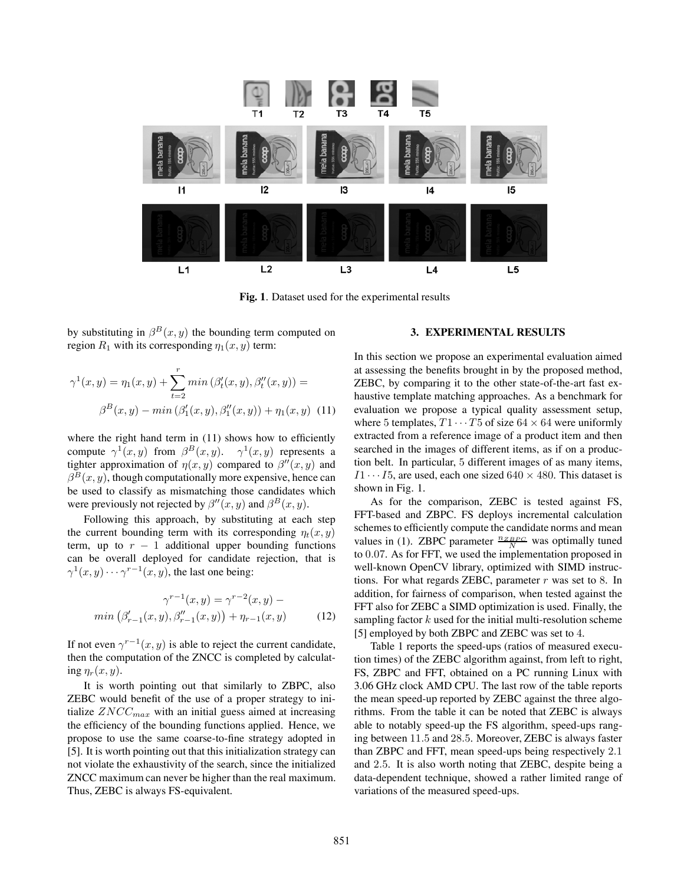

**Fig. 1**. Dataset used for the experimental results

by substituting in  $\beta^{B}(x, y)$  the bounding term computed on region  $R_1$  with its corresponding  $\eta_1(x, y)$  term:

$$
\gamma^{1}(x, y) = \eta_{1}(x, y) + \sum_{t=2}^{r} \min (\beta_{t}'(x, y), \beta_{t}''(x, y)) =
$$

$$
\beta^{B}(x, y) - \min (\beta_{1}'(x, y), \beta_{1}''(x, y)) + \eta_{1}(x, y) \tag{11}
$$

where the right hand term in  $(11)$  shows how to efficiently compute  $\gamma^1(x, y)$  from  $\beta^B(x, y)$ .  $\gamma^1(x, y)$  represents a tighter approximation of  $\eta(x, y)$  compared to  $\beta''(x, y)$  and  $\beta^{B}(x, y)$  though computationally more expensive hence can  $\beta^{B}(x, y)$ , though computationally more expensive, hence can be used to classify as mismatching those candidates which were previously not rejected by  $\beta''(x, y)$  and  $\beta^{B}(x, y)$ .<br>
Following this aggregate by substituting at each

Following this approach, by substituting at each step the current bounding term with its corresponding  $\eta_t(x, y)$ term, up to  $r - 1$  additional upper bounding functions can be overall deployed for candidate rejection, that is  $\gamma^1(x, y) \cdots \gamma^{r-1}(x, y)$ , the last one being:

$$
\gamma^{r-1}(x, y) = \gamma^{r-2}(x, y) - \min(\beta'_{r-1}(x, y), \beta''_{r-1}(x, y)) + \eta_{r-1}(x, y)
$$
(12)

If not even  $\gamma^{r-1}(x, y)$  is able to reject the current candidate, then the computation of the ZNCC is completed by calculating  $\eta_r(x, y)$ .

It is worth pointing out that similarly to ZBPC, also ZEBC would benefit of the use of a proper strategy to initialize  $ZNCC_{max}$  with an initial guess aimed at increasing the efficiency of the bounding functions applied. Hence, we propose to use the same coarse-to-fine strategy adopted in [5]. It is worth pointing out that this initialization strategy can not violate the exhaustivity of the search, since the initialized ZNCC maximum can never be higher than the real maximum. Thus, ZEBC is always FS-equivalent.

### **3. EXPERIMENTAL RESULTS**

In this section we propose an experimental evaluation aimed at assessing the benefits brought in by the proposed method, ZEBC, by comparing it to the other state-of-the-art fast exhaustive template matching approaches. As a benchmark for evaluation we propose a typical quality assessment setup, where 5 templates,  $T1 \cdots T5$  of size 64  $\times$  64 were uniformly extracted from a reference image of a product item and then searched in the images of different items, as if on a production belt. In particular, 5 different images of as many items,  $I1 \cdots I5$ , are used, each one sized  $640 \times 480$ . This dataset is shown in Fig. 1.

As for the comparison, ZEBC is tested against FS, FFT-based and ZBPC. FS deploys incremental calculation schemes to efficiently compute the candidate norms and mean values in (1). ZBPC parameter  $\frac{n_{ZBPC}}{N}$  was optimally tuned to <sup>0</sup>.07. As for FFT, we used the implementation proposed in well-known OpenCV library, optimized with SIMD instructions. For what regards ZEBC, parameter  $r$  was set to 8. In addition, for fairness of comparison, when tested against the FFT also for ZEBC a SIMD optimization is used. Finally, the sampling factor  $k$  used for the initial multi-resolution scheme [5] employed by both ZBPC and ZEBC was set to 4.

Table 1 reports the speed-ups (ratios of measured execution times) of the ZEBC algorithm against, from left to right, FS, ZBPC and FFT, obtained on a PC running Linux with 3.06 GHz clock AMD CPU. The last row of the table reports the mean speed-up reported by ZEBC against the three algorithms. From the table it can be noted that ZEBC is always able to notably speed-up the FS algorithm, speed-ups ranging between <sup>11</sup>.<sup>5</sup> and <sup>28</sup>.5. Moreover, ZEBC is always faster than ZBPC and FFT, mean speed-ups being respectively <sup>2</sup>.<sup>1</sup> and <sup>2</sup>.5. It is also worth noting that ZEBC, despite being a data-dependent technique, showed a rather limited range of variations of the measured speed-ups.